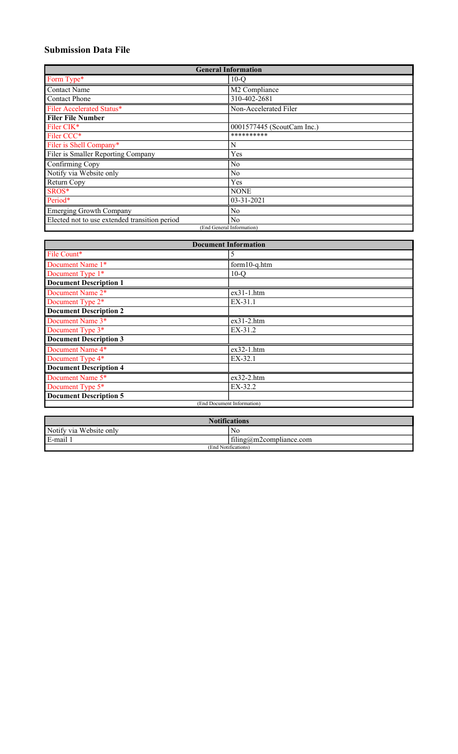# Submission Data File

| <b>General Information</b>                    |                            |  |  |
|-----------------------------------------------|----------------------------|--|--|
| Form Type*                                    | $10-Q$                     |  |  |
| <b>Contact Name</b>                           | M2 Compliance              |  |  |
| <b>Contact Phone</b>                          | 310-402-2681               |  |  |
| Filer Accelerated Status*                     | Non-Accelerated Filer      |  |  |
| <b>Filer File Number</b>                      |                            |  |  |
| Filer CIK*                                    | 0001577445 (ScoutCam Inc.) |  |  |
| Filer CCC*                                    | **********                 |  |  |
| Filer is Shell Company*                       | N                          |  |  |
| Filer is Smaller Reporting Company            | Yes                        |  |  |
| Confirming Copy                               | N <sub>o</sub>             |  |  |
| Notify via Website only                       | N <sub>o</sub>             |  |  |
| Return Copy                                   | Yes                        |  |  |
| SROS*                                         | <b>NONE</b>                |  |  |
| Period*                                       | $03 - 31 - 2021$           |  |  |
| <b>Emerging Growth Company</b>                | N <sub>o</sub>             |  |  |
| Elected not to use extended transition period | No                         |  |  |
| (End General Information)                     |                            |  |  |

| <b>Document Information</b>   |                            |  |
|-------------------------------|----------------------------|--|
| File Count*                   | 5                          |  |
| Document Name 1*              | form10-q.htm               |  |
| Document Type 1*              | $10-Q$                     |  |
| <b>Document Description 1</b> |                            |  |
| Document Name 2*              | $ex31-1.htm$               |  |
| Document Type 2*              | EX-31.1                    |  |
| <b>Document Description 2</b> |                            |  |
| Document Name 3*              | $ex31-2.htm$               |  |
| Document Type 3*              | $EX-31.2$                  |  |
| <b>Document Description 3</b> |                            |  |
| Document Name 4*              | $ex32-1.htm$               |  |
| Document Type 4*              | EX-32.1                    |  |
| <b>Document Description 4</b> |                            |  |
| Document Name 5*              | $ex32-2.htm$               |  |
| Document Type 5*              | EX-32.2                    |  |
| <b>Document Description 5</b> |                            |  |
|                               | (End Document Information) |  |

| <b>Notifications</b>              |  |  |  |
|-----------------------------------|--|--|--|
| Notify via Website only<br>ΝC     |  |  |  |
| filing@m2compliance.com<br>E-mail |  |  |  |
| (End Notifications)               |  |  |  |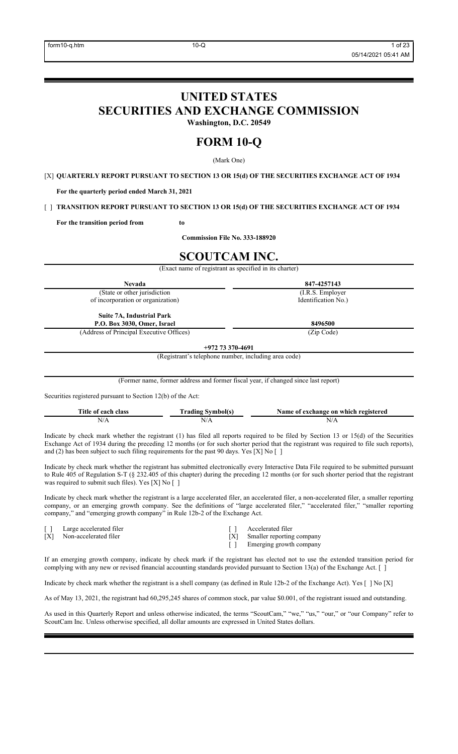# UNITED STATES

SECURITIES AND EXCHANGE COMMISSION

Washington, D.C. 20549

# FORM 10-Q

(Mark One)

[X] QUARTERLY REPORT PURSUANT TO SECTION 13 OR 15(d) OF THE SECURITIES EXCHANGE ACT OF 1934

For the quarterly period ended March 31, 2021

[ ] TRANSITION REPORT PURSUANT TO SECTION 13 OR 15(d) OF THE SECURITIES EXCHANGE ACT OF 1934

For the transition period from to

Commission File No. 333-188920

# SCOUTCAM INC.

(Exact name of registrant as specified in its charter)

| <b>Nevada</b>                                                                                                                                                                                                                                                                                                                                  | 847-4257143         |  |  |
|------------------------------------------------------------------------------------------------------------------------------------------------------------------------------------------------------------------------------------------------------------------------------------------------------------------------------------------------|---------------------|--|--|
| (State or other jurisdiction                                                                                                                                                                                                                                                                                                                   | (I.R.S. Employer)   |  |  |
| of incorporation or organization)                                                                                                                                                                                                                                                                                                              | Identification No.) |  |  |
| <b>Suite 7A, Industrial Park</b><br>P.O. Box 3030, Omer, Israel                                                                                                                                                                                                                                                                                | 8496500             |  |  |
| (Address of Principal Executive Offices)                                                                                                                                                                                                                                                                                                       | (Zip Code)          |  |  |
| $+97273370-4691$                                                                                                                                                                                                                                                                                                                               |                     |  |  |
| (Registrant's telephone number, including area code)                                                                                                                                                                                                                                                                                           |                     |  |  |
|                                                                                                                                                                                                                                                                                                                                                |                     |  |  |
|                                                                                                                                                                                                                                                                                                                                                |                     |  |  |
| $(T_1, \ldots, T_{n-1}, T_{n-1}, T_{n-1}, T_{n-1}, T_{n-1}, T_{n-1}, T_{n-1}, T_{n-1}, T_{n-1}, T_{n-1}, T_{n-1}, T_{n-1}, T_{n-1}, T_{n-1}, T_{n-1}, T_{n-1}, T_{n-1}, T_{n-1}, T_{n-1}, T_{n-1}, T_{n-1}, T_{n-1}, T_{n-1}, T_{n-1}, T_{n-1}, T_{n-1}, T_{n-1}, T_{n-1}, T_{n-1}, T_{n-1}, T_{n-1}, T_{n-1}, T_{n-1}, T_{n-1}, T_{n-1}, T_{$ |                     |  |  |

(Former name, former address and former fiscal year, if changed since last report)

Securities registered pursuant to Section 12(b) of the Act:

| Title of <b>c</b><br>r each class | Fadıng<br>ıholís | Name of exchange on which registered |
|-----------------------------------|------------------|--------------------------------------|
| $'$ $'$ $'$ $'$ $'$ $''$          |                  | .                                    |

Indicate by check mark whether the registrant (1) has filed all reports required to be filed by Section 13 or 15(d) of the Securities Exchange Act of 1934 during the preceding 12 months (or for such shorter period that the registrant was required to file such reports), and (2) has been subject to such filing requirements for the past 90 days. Yes [X] No [ ]

Indicate by check mark whether the registrant has submitted electronically every Interactive Data File required to be submitted pursuant to Rule 405 of Regulation S-T (§ 232.405 of this chapter) during the preceding 12 months (or for such shorter period that the registrant was required to submit such files). Yes [X] No [ ]

Indicate by check mark whether the registrant is a large accelerated filer, an accelerated filer, a non-accelerated filer, a smaller reporting company, or an emerging growth company. See the definitions of "large accelerated filer," "accelerated filer," "smaller reporting company," and "emerging growth company" in Rule 12b-2 of the Exchange Act.

[ ] Large accelerated filer [ ] Large accelerated filer [ ] Accelerated filer [ X] Smaller reporting

Non-accelerated filer [X] Smaller reporting company

[ ] Emerging growth company

If an emerging growth company, indicate by check mark if the registrant has elected not to use the extended transition period for complying with any new or revised financial accounting standards provided pursuant to Section 13(a) of the Exchange Act. [ ]

Indicate by check mark whether the registrant is a shell company (as defined in Rule 12b-2 of the Exchange Act). Yes [ ] No [X]

As of May 13, 2021, the registrant had 60,295,245 shares of common stock, par value \$0.001, of the registrant issued and outstanding.

As used in this Quarterly Report and unless otherwise indicated, the terms "ScoutCam," "we," "us," "our," or "our Company" refer to ScoutCam Inc. Unless otherwise specified, all dollar amounts are expressed in United States dollars.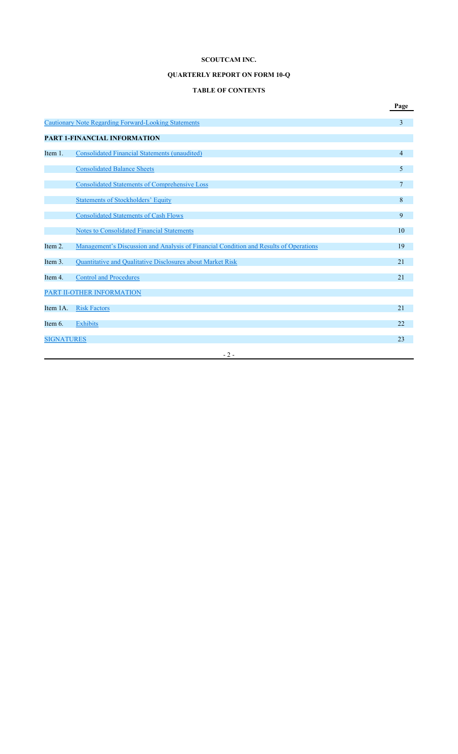## QUARTERLY REPORT ON FORM 10-Q

# TABLE OF CONTENTS

|                   |                                                                                       | Page |
|-------------------|---------------------------------------------------------------------------------------|------|
|                   | <b>Cautionary Note Regarding Forward-Looking Statements</b>                           | 3    |
|                   | <b>PART 1-FINANCIAL INFORMATION</b>                                                   |      |
| Item 1.           | Consolidated Financial Statements (unaudited)                                         | 4    |
|                   | <b>Consolidated Balance Sheets</b>                                                    | 5    |
|                   | <b>Consolidated Statements of Comprehensive Loss</b>                                  | 7    |
|                   | <b>Statements of Stockholders' Equity</b>                                             | 8    |
|                   | <b>Consolidated Statements of Cash Flows</b>                                          | 9    |
|                   | Notes to Consolidated Financial Statements                                            | 10   |
| Item 2.           | Management's Discussion and Analysis of Financial Condition and Results of Operations | 19   |
| Item 3.           | Quantitative and Qualitative Disclosures about Market Risk                            | 21   |
| Item 4.           | <b>Control and Procedures</b>                                                         | 21   |
|                   | PART II-OTHER INFORMATION                                                             |      |
| Item 1A.          | <b>Risk Factors</b>                                                                   | 21   |
| Item 6.           | Exhibits                                                                              | 22   |
| <b>SIGNATURES</b> |                                                                                       | 23   |
|                   | $-2-$                                                                                 |      |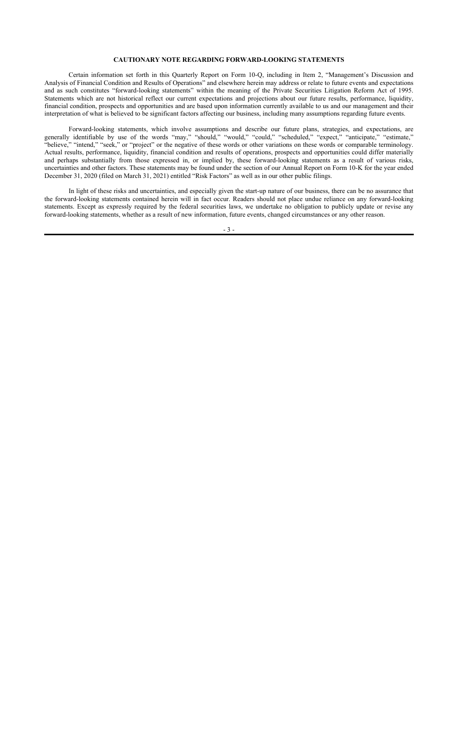### CAUTIONARY NOTE REGARDING FORWARD-LOOKING STATEMENTS

Certain information set forth in this Quarterly Report on Form 10-Q, including in Item 2, "Management's Discussion and Analysis of Financial Condition and Results of Operations" and elsewhere herein may address or relate to future events and expectations and as such constitutes "forward-looking statements" within the meaning of the Private Securities Litigation Reform Act of 1995. Statements which are not historical reflect our current expectations and projections about our future results, performance, liquidity, financial condition, prospects and opportunities and are based upon information currently available to us and our management and their interpretation of what is believed to be significant factors affecting our business, including many assumptions regarding future events.

Forward-looking statements, which involve assumptions and describe our future plans, strategies, and expectations, are generally identifiable by use of the words "may," "should," "would," "could," "scheduled," "expect," "anticipate," "estimate," "believe," "intend," "seek," or "project" or the negative of these words or other variations on these words or comparable terminology. Actual results, performance, liquidity, financial condition and results of operations, prospects and opportunities could differ materially and perhaps substantially from those expressed in, or implied by, these forward-looking statements as a result of various risks, uncertainties and other factors. These statements may be found under the section of our Annual Report on Form 10-K for the year ended December 31, 2020 (filed on March 31, 2021) entitled "Risk Factors" as well as in our other public filings.

In light of these risks and uncertainties, and especially given the start-up nature of our business, there can be no assurance that the forward-looking statements contained herein will in fact occur. Readers should not place undue reliance on any forward-looking statements. Except as expressly required by the federal securities laws, we undertake no obligation to publicly update or revise any forward-looking statements, whether as a result of new information, future events, changed circumstances or any other reason.

- 3 -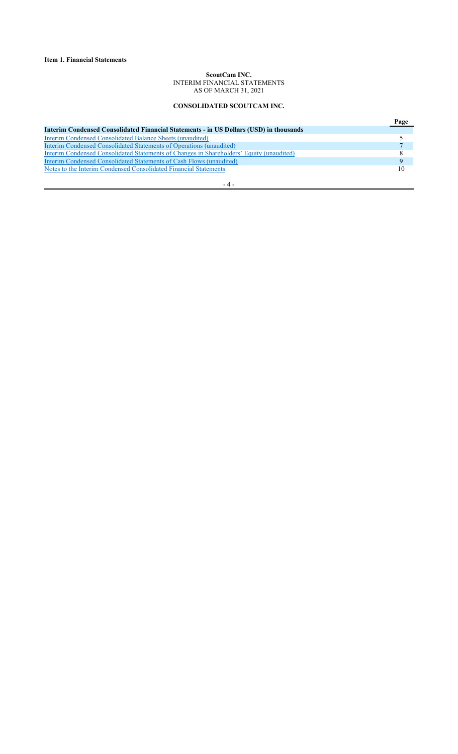### ScoutCam INC. INTERIM FINANCIAL STATEMENTS AS OF MARCH 31, 2021

## CONSOLIDATED SCOUTCAM INC.

|                                                                                          | Page |
|------------------------------------------------------------------------------------------|------|
| Interim Condensed Consolidated Financial Statements - in US Dollars (USD) in thousands   |      |
| Interim Condensed Consolidated Balance Sheets (unaudited)                                |      |
| Interim Condensed Consolidated Statements of Operations (unaudited)                      |      |
| Interim Condensed Consolidated Statements of Changes in Shareholders' Equity (unaudited) | 8    |
| Interim Condensed Consolidated Statements of Cash Flows (unaudited)                      | 9    |
| Notes to the Interim Condensed Consolidated Financial Statements                         | 10   |
|                                                                                          |      |

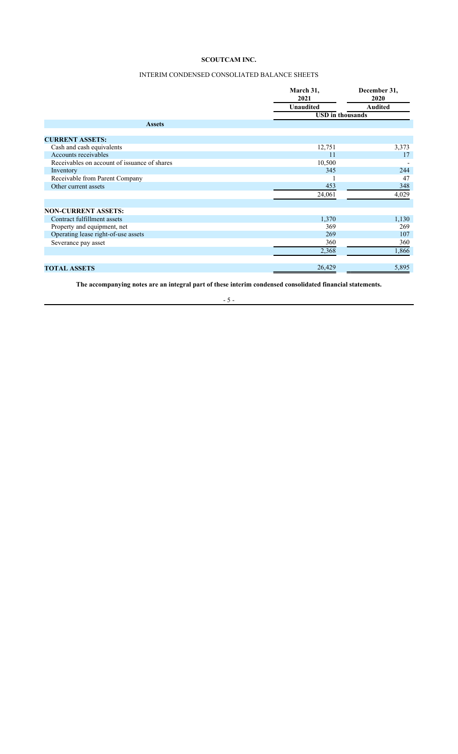## INTERIM CONDENSED CONSOLIATED BALANCE SHEETS

|                                              | March 31,<br>2021       | December 31,<br>2020 |  |
|----------------------------------------------|-------------------------|----------------------|--|
|                                              | <b>Unaudited</b>        | <b>Audited</b>       |  |
|                                              | <b>USD</b> in thousands |                      |  |
| <b>Assets</b>                                |                         |                      |  |
|                                              |                         |                      |  |
| <b>CURRENT ASSETS:</b>                       |                         |                      |  |
| Cash and cash equivalents                    | 12,751                  | 3,373                |  |
| Accounts receivables                         | 11                      | 17                   |  |
| Receivables on account of issuance of shares | 10,500                  |                      |  |
| Inventory                                    | 345                     | 244                  |  |
| Receivable from Parent Company               |                         | 47                   |  |
| Other current assets                         | 453                     | 348                  |  |
|                                              | 24,061                  | 4,029                |  |
| <b>NON-CURRENT ASSETS:</b>                   |                         |                      |  |
| Contract fulfillment assets                  | 1,370                   | 1,130                |  |
| Property and equipment, net                  | 369                     | 269                  |  |
| Operating lease right-of-use assets          | 269                     | 107                  |  |
| Severance pay asset                          | 360                     | 360                  |  |
|                                              | 2,368                   | 1,866                |  |
| <b>TOTAL ASSETS</b>                          | 26,429                  | 5,895                |  |

The accompanying notes are an integral part of these interim condensed consolidated financial statements.

## - 5 -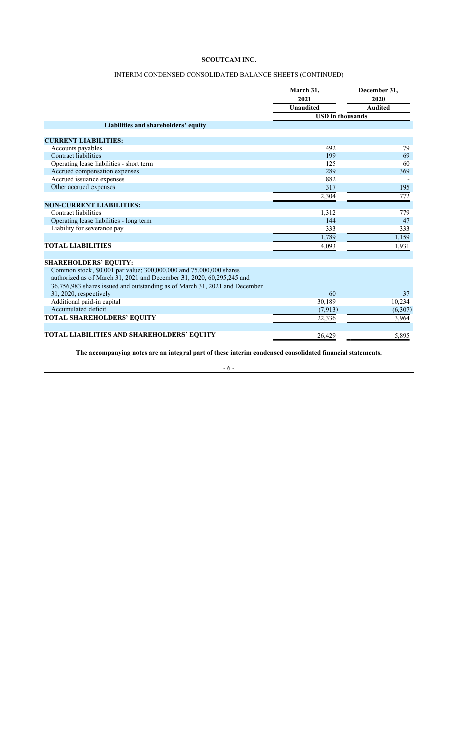## INTERIM CONDENSED CONSOLIDATED BALANCE SHEETS (CONTINUED)

|                                                                            | March 31,<br>2021       | December 31,<br>2020 |  |
|----------------------------------------------------------------------------|-------------------------|----------------------|--|
|                                                                            | <b>Unaudited</b>        | <b>Audited</b>       |  |
|                                                                            | <b>USD</b> in thousands |                      |  |
| Liabilities and shareholders' equity                                       |                         |                      |  |
|                                                                            |                         |                      |  |
| <b>CURRENT LIABILITIES:</b>                                                |                         |                      |  |
| Accounts payables                                                          | 492                     | 79                   |  |
| Contract liabilities                                                       | 199                     | 69                   |  |
| Operating lease liabilities - short term                                   | 125                     | 60                   |  |
| Accrued compensation expenses                                              | 289                     | 369                  |  |
| Accrued issuance expenses                                                  | 882                     |                      |  |
| Other accrued expenses                                                     | 317                     | 195                  |  |
|                                                                            | 2,304                   | 772                  |  |
| <b>NON-CURRENT LIABILITIES:</b>                                            |                         |                      |  |
| Contract liabilities                                                       | 1,312                   | 779                  |  |
| Operating lease liabilities - long term                                    | 144                     | 47                   |  |
| Liability for severance pay                                                | 333                     | 333                  |  |
|                                                                            | 1,789                   | 1,159                |  |
| <b>TOTAL LIABILITIES</b>                                                   | 4,093                   | 1,931                |  |
|                                                                            |                         |                      |  |
| <b>SHAREHOLDERS' EQUITY:</b>                                               |                         |                      |  |
| Common stock, \$0.001 par value; 300,000,000 and 75,000,000 shares         |                         |                      |  |
| authorized as of March 31, 2021 and December 31, 2020, 60, 295, 245 and    |                         |                      |  |
| 36,756,983 shares issued and outstanding as of March 31, 2021 and December |                         |                      |  |
| 31, 2020, respectively                                                     | 60                      | 37                   |  |
| Additional paid-in capital                                                 | 30,189                  | 10,234               |  |
| Accumulated deficit                                                        | (7,913)                 | (6,307)              |  |
| TOTAL SHAREHOLDERS' EQUITY                                                 | 22,336                  | 3,964                |  |
|                                                                            |                         |                      |  |
| <b>TOTAL LIABILITIES AND SHAREHOLDERS' EQUITY</b>                          | 26.429                  | 5.895                |  |

The accompanying notes are an integral part of these interim condensed consolidated financial statements.

- 6 -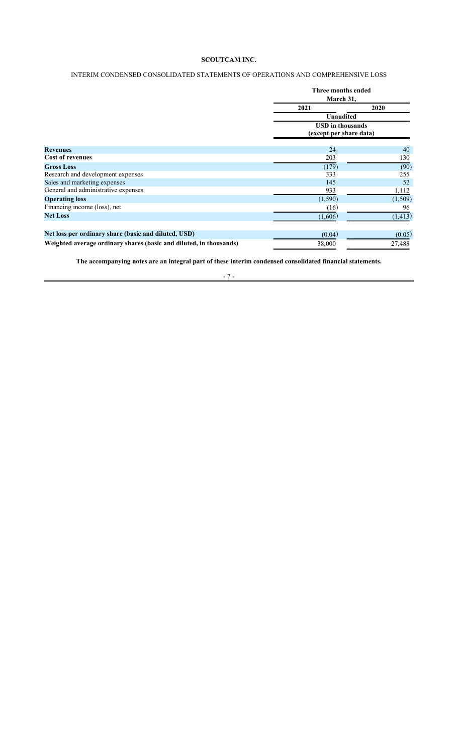## INTERIM CONDENSED CONSOLIDATED STATEMENTS OF OPERATIONS AND COMPREHENSIVE LOSS

|                                                                    | Three months ended<br>March 31,                                 |          |  |
|--------------------------------------------------------------------|-----------------------------------------------------------------|----------|--|
|                                                                    | 2021                                                            | 2020     |  |
|                                                                    | Unaudited<br><b>USD</b> in thousands<br>(except per share data) |          |  |
|                                                                    |                                                                 |          |  |
| <b>Revenues</b>                                                    | 24                                                              | 40       |  |
| <b>Cost of revenues</b>                                            | 203                                                             | 130      |  |
| <b>Gross Loss</b>                                                  | (179)                                                           | (90)     |  |
| Research and development expenses                                  | 333                                                             | 255      |  |
| Sales and marketing expenses                                       | 145                                                             | 52       |  |
| General and administrative expenses                                | 933                                                             | 1,112    |  |
| <b>Operating loss</b>                                              | (1,590)                                                         | (1,509)  |  |
| Financing income (loss), net                                       | (16)                                                            | 96       |  |
| <b>Net Loss</b>                                                    | (1,606)                                                         | (1, 413) |  |
| Net loss per ordinary share (basic and diluted, USD)               | (0.04)                                                          | (0.05)   |  |
| Weighted average ordinary shares (basic and diluted, in thousands) | 38,000                                                          | 27,488   |  |

The accompanying notes are an integral part of these interim condensed consolidated financial statements.

## - 7 -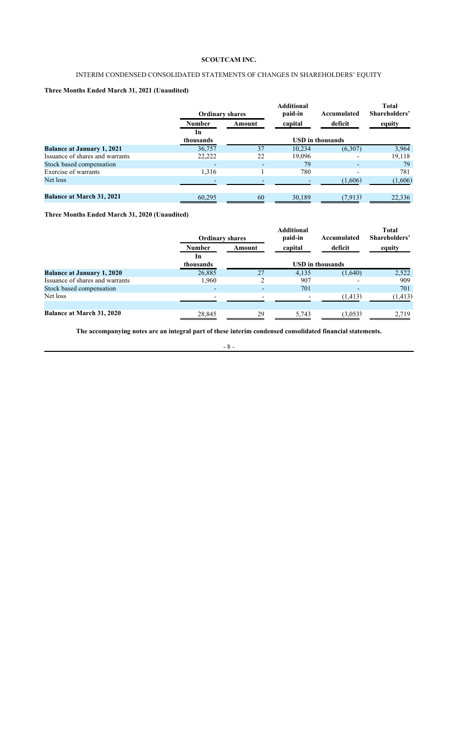## INTERIM CONDENSED CONSOLIDATED STATEMENTS OF CHANGES IN SHAREHOLDERS' EQUITY

## Three Months Ended March 31, 2021 (Unaudited)

|                                   | <b>Ordinary shares</b>   |        | <b>Additional</b><br>paid-in | Accumulated              | <b>Total</b><br>Shareholders' |
|-----------------------------------|--------------------------|--------|------------------------------|--------------------------|-------------------------------|
|                                   | <b>Number</b>            | Amount | capital                      | deficit                  | equity                        |
|                                   | In<br>thousands          |        | <b>USD</b> in thousands      |                          |                               |
| <b>Balance at January 1, 2021</b> | 36,757                   | 37     | 10,234                       | (6,307)                  | 3,964                         |
| Issuance of shares and warrants   | 22,222                   | 22     | 19,096                       |                          | 19,118                        |
| Stock based compensation          | $\overline{\phantom{a}}$ |        | 79                           | $\overline{\phantom{0}}$ | 79                            |
| Exercise of warrants              | 1,316                    |        | 780                          |                          | 781                           |
| Net loss                          |                          |        |                              | (1,606)                  | (1,606)                       |
| <b>Balance at March 31, 2021</b>  | 60,295                   | 60     | 30,189                       | (7, 913)                 | 22,336                        |

Three Months Ended March 31, 2020 (Unaudited)

|                                   | <b>Ordinary shares</b> |        | <b>Additional</b><br>paid-in | Accumulated             | <b>Total</b><br>Shareholders' |
|-----------------------------------|------------------------|--------|------------------------------|-------------------------|-------------------------------|
|                                   | <b>Number</b>          | Amount | capital                      | deficit                 | equity                        |
|                                   | In<br>thousands        |        |                              | <b>USD</b> in thousands |                               |
| <b>Balance at January 1, 2020</b> | 26,885                 | 27     | 4,135                        | (1,640)                 | 2,522                         |
| Issuance of shares and warrants   | 1,960                  | C      | 907                          |                         | 909                           |
| Stock based compensation          |                        |        | 701                          |                         | 701                           |
| Net loss                          |                        |        |                              | (1, 413)                | (1, 413)                      |
| <b>Balance at March 31, 2020</b>  | 28,845                 | 29     | 5,743                        | (3,053)                 | 2.719                         |

The accompanying notes are an integral part of these interim condensed consolidated financial statements.

- 8 -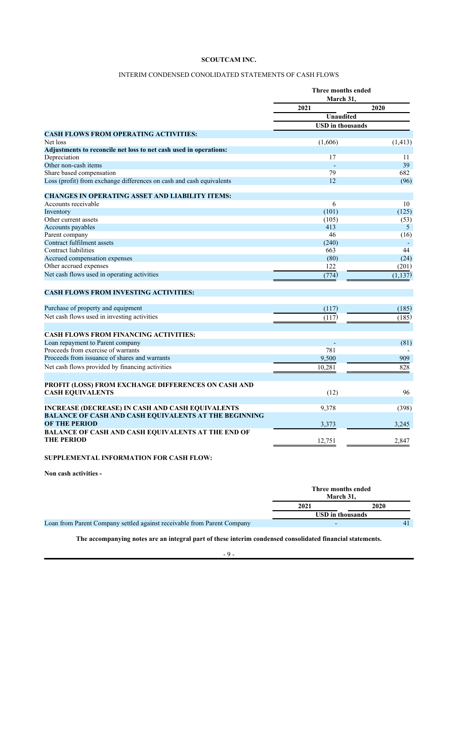## INTERIM CONDENSED CONOLIDATED STATEMENTS OF CASH FLOWS

|                                                                      | Three months ended<br>March 31, |                |
|----------------------------------------------------------------------|---------------------------------|----------------|
|                                                                      | 2021                            | 2020           |
|                                                                      | <b>Unaudited</b>                |                |
|                                                                      | <b>USD</b> in thousands         |                |
| <b>CASH FLOWS FROM OPERATING ACTIVITIES:</b>                         |                                 |                |
| Net loss                                                             | (1,606)                         | (1, 413)       |
| Adjustments to reconcile net loss to net cash used in operations:    |                                 |                |
| Depreciation                                                         | 17                              | 11             |
| Other non-cash items                                                 |                                 | 39             |
| Share based compensation                                             | 79                              | 682            |
| Loss (profit) from exchange differences on cash and cash equivalents | 12                              | (96)           |
| <b>CHANGES IN OPERATING ASSET AND LIABILITY ITEMS:</b>               |                                 |                |
| Accounts receivable                                                  | 6                               | 10             |
| Inventory                                                            | (101)                           | (125)          |
| Other current assets                                                 | (105)                           | (53)           |
| Accounts payables                                                    | 413                             | 5              |
| Parent company                                                       | 46                              | (16)           |
| Contract fulfilment assets                                           | (240)                           | $\overline{a}$ |
| Contract liabilities                                                 | 663                             | 44             |
| Accrued compensation expenses                                        | (80)                            | (24)           |
| Other accrued expenses                                               | 122                             | (201)          |
| Net cash flows used in operating activities                          | (774)                           | (1, 137)       |
| <b>CASH FLOWS FROM INVESTING ACTIVITIES:</b>                         |                                 |                |
| Purchase of property and equipment                                   | (117)                           | (185)          |
| Net cash flows used in investing activities                          |                                 |                |
|                                                                      | (117)                           | (185)          |
| <b>CASH FLOWS FROM FINANCING ACTIVITIES:</b>                         |                                 |                |
| Loan repayment to Parent company                                     | ÷                               | (81)           |
| Proceeds from exercise of warrants                                   | 781                             |                |
| Proceeds from issuance of shares and warrants                        | 9,500                           | 909            |
| Net cash flows provided by financing activities                      | 10,281                          | 828            |
| PROFIT (LOSS) FROM EXCHANGE DIFFERENCES ON CASH AND                  |                                 |                |
| <b>CASH EQUIVALENTS</b>                                              | (12)                            | 96             |
| <b>INCREASE (DECREASE) IN CASH AND CASH EQUIVALENTS</b>              | 9,378                           | (398)          |
| <b>BALANCE OF CASH AND CASH EQUIVALENTS AT THE BEGINNING</b>         |                                 |                |
| <b>OF THE PERIOD</b>                                                 | 3,373                           | 3,245          |
| BALANCE OF CASH AND CASH EQUIVALENTS AT THE END OF                   |                                 |                |
| <b>THE PERIOD</b>                                                    | 12,751                          | 2,847          |
|                                                                      |                                 |                |

# SUPPLEMENTAL INFORMATION FOR CASH FLOW:

Non cash activities -

|                                                                         | Three months ended<br>March 31. |      |
|-------------------------------------------------------------------------|---------------------------------|------|
|                                                                         | 2021                            | 2020 |
|                                                                         | <b>USD</b> in thousands         |      |
| Loan from Parent Company settled against receivable from Parent Company |                                 |      |

The accompanying notes are an integral part of these interim condensed consolidated financial statements.

- 9 -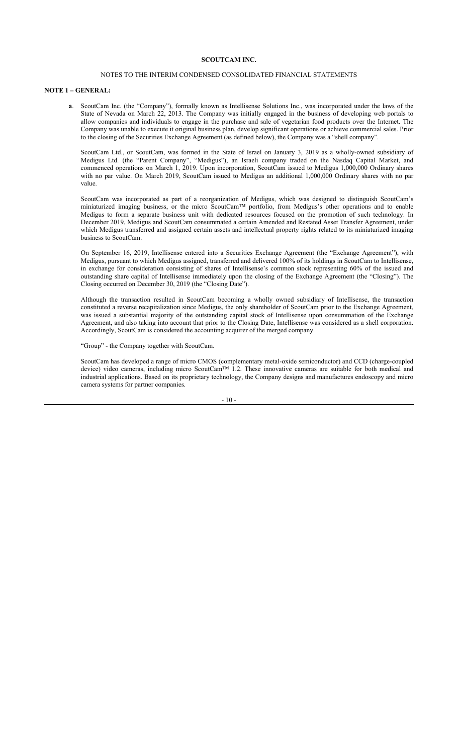### NOTES TO THE INTERIM CONDENSED CONSOLIDATED FINANCIAL STATEMENTS

#### NOTE 1 – GENERAL:

a. ScoutCam Inc. (the "Company"), formally known as Intellisense Solutions Inc., was incorporated under the laws of the State of Nevada on March 22, 2013. The Company was initially engaged in the business of developing web portals to allow companies and individuals to engage in the purchase and sale of vegetarian food products over the Internet. The Company was unable to execute it original business plan, develop significant operations or achieve commercial sales. Prior to the closing of the Securities Exchange Agreement (as defined below), the Company was a "shell company".

ScoutCam Ltd., or ScoutCam, was formed in the State of Israel on January 3, 2019 as a wholly-owned subsidiary of Medigus Ltd. (the "Parent Company", "Medigus"), an Israeli company traded on the Nasdaq Capital Market, and commenced operations on March 1, 2019. Upon incorporation, ScoutCam issued to Medigus 1,000,000 Ordinary shares with no par value. On March 2019, ScoutCam issued to Medigus an additional 1,000,000 Ordinary shares with no par value.

ScoutCam was incorporated as part of a reorganization of Medigus, which was designed to distinguish ScoutCam's miniaturized imaging business, or the micro ScoutCam™ portfolio, from Medigus's other operations and to enable Medigus to form a separate business unit with dedicated resources focused on the promotion of such technology. In December 2019, Medigus and ScoutCam consummated a certain Amended and Restated Asset Transfer Agreement, under which Medigus transferred and assigned certain assets and intellectual property rights related to its miniaturized imaging business to ScoutCam.

On September 16, 2019, Intellisense entered into a Securities Exchange Agreement (the "Exchange Agreement"), with Medigus, pursuant to which Medigus assigned, transferred and delivered 100% of its holdings in ScoutCam to Intellisense, in exchange for consideration consisting of shares of Intellisense's common stock representing 60% of the issued and outstanding share capital of Intellisense immediately upon the closing of the Exchange Agreement (the "Closing"). The Closing occurred on December 30, 2019 (the "Closing Date").

Although the transaction resulted in ScoutCam becoming a wholly owned subsidiary of Intellisense, the transaction constituted a reverse recapitalization since Medigus, the only shareholder of ScoutCam prior to the Exchange Agreement, was issued a substantial majority of the outstanding capital stock of Intellisense upon consummation of the Exchange Agreement, and also taking into account that prior to the Closing Date, Intellisense was considered as a shell corporation. Accordingly, ScoutCam is considered the accounting acquirer of the merged company.

"Group" - the Company together with ScoutCam.

ScoutCam has developed a range of micro CMOS (complementary metal-oxide semiconductor) and CCD (charge-coupled device) video cameras, including micro ScoutCam™ 1.2. These innovative cameras are suitable for both medical and industrial applications. Based on its proprietary technology, the Company designs and manufactures endoscopy and micro camera systems for partner companies.

 $-10-$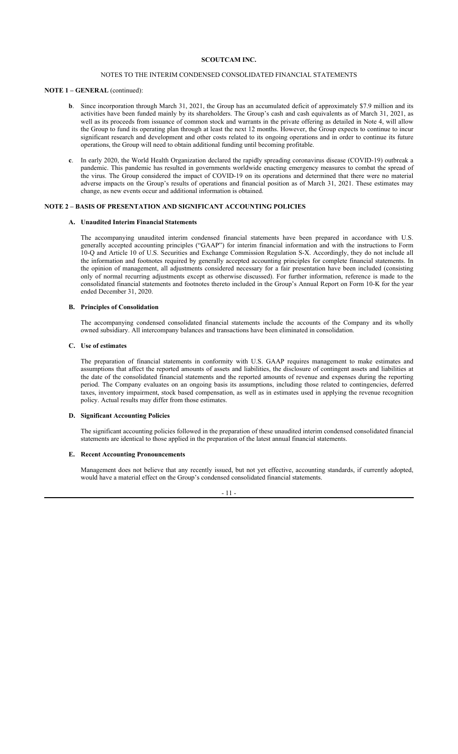## NOTES TO THE INTERIM CONDENSED CONSOLIDATED FINANCIAL STATEMENTS

### NOTE 1 – GENERAL (continued):

- b. Since incorporation through March 31, 2021, the Group has an accumulated deficit of approximately \$7.9 million and its activities have been funded mainly by its shareholders. The Group's cash and cash equivalents as of March 31, 2021, as well as its proceeds from issuance of common stock and warrants in the private offering as detailed in Note 4, will allow the Group to fund its operating plan through at least the next 12 months. However, the Group expects to continue to incur significant research and development and other costs related to its ongoing operations and in order to continue its future operations, the Group will need to obtain additional funding until becoming profitable.
- c. In early 2020, the World Health Organization declared the rapidly spreading coronavirus disease (COVID-19) outbreak a pandemic. This pandemic has resulted in governments worldwide enacting emergency measures to combat the spread of the virus. The Group considered the impact of COVID-19 on its operations and determined that there were no material adverse impacts on the Group's results of operations and financial position as of March 31, 2021. These estimates may change, as new events occur and additional information is obtained.

## NOTE 2 – BASIS OF PRESENTATION AND SIGNIFICANT ACCOUNTING POLICIES

## A. Unaudited Interim Financial Statements

The accompanying unaudited interim condensed financial statements have been prepared in accordance with U.S. generally accepted accounting principles ("GAAP") for interim financial information and with the instructions to Form 10-Q and Article 10 of U.S. Securities and Exchange Commission Regulation S-X. Accordingly, they do not include all the information and footnotes required by generally accepted accounting principles for complete financial statements. In the opinion of management, all adjustments considered necessary for a fair presentation have been included (consisting only of normal recurring adjustments except as otherwise discussed). For further information, reference is made to the consolidated financial statements and footnotes thereto included in the Group's Annual Report on Form 10-K for the year ended December 31, 2020.

#### B. Principles of Consolidation

The accompanying condensed consolidated financial statements include the accounts of the Company and its wholly owned subsidiary. All intercompany balances and transactions have been eliminated in consolidation.

### C. Use of estimates

The preparation of financial statements in conformity with U.S. GAAP requires management to make estimates and assumptions that affect the reported amounts of assets and liabilities, the disclosure of contingent assets and liabilities at the date of the consolidated financial statements and the reported amounts of revenue and expenses during the reporting period. The Company evaluates on an ongoing basis its assumptions, including those related to contingencies, deferred taxes, inventory impairment, stock based compensation, as well as in estimates used in applying the revenue recognition policy. Actual results may differ from those estimates.

### D. Significant Accounting Policies

The significant accounting policies followed in the preparation of these unaudited interim condensed consolidated financial statements are identical to those applied in the preparation of the latest annual financial statements.

### E. Recent Accounting Pronouncements

Management does not believe that any recently issued, but not yet effective, accounting standards, if currently adopted, would have a material effect on the Group's condensed consolidated financial statements.

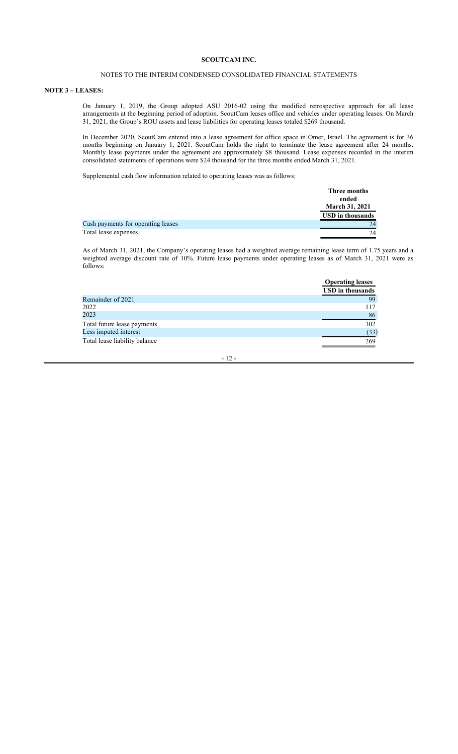### NOTES TO THE INTERIM CONDENSED CONSOLIDATED FINANCIAL STATEMENTS

### NOTE 3 – LEASES:

On January 1, 2019, the Group adopted ASU 2016-02 using the modified retrospective approach for all lease arrangements at the beginning period of adoption. ScoutCam leases office and vehicles under operating leases. On March 31, 2021, the Group's ROU assets and lease liabilities for operating leases totaled \$269 thousand.

In December 2020, ScoutCam entered into a lease agreement for office space in Omer, Israel. The agreement is for 36 months beginning on January 1, 2021. ScoutCam holds the right to terminate the lease agreement after 24 months. Monthly lease payments under the agreement are approximately \$8 thousand. Lease expenses recorded in the interim consolidated statements of operations were \$24 thousand for the three months ended March 31, 2021.

Supplemental cash flow information related to operating leases was as follows:

|                                    | Three months            |
|------------------------------------|-------------------------|
|                                    | ended                   |
|                                    | <b>March 31, 2021</b>   |
|                                    | <b>USD</b> in thousands |
| Cash payments for operating leases | 24                      |
| Total lease expenses               | 24                      |

As of March 31, 2021, the Company's operating leases had a weighted average remaining lease term of 1.75 years and a weighted average discount rate of 10%. Future lease payments under operating leases as of March 31, 2021 were as follows:

|                               | <b>Operating leases</b> |
|-------------------------------|-------------------------|
|                               | <b>USD</b> in thousands |
| Remainder of 2021             | 99                      |
| 2022                          | 117                     |
| 2023                          | 86                      |
| Total future lease payments   | 302                     |
| Less imputed interest         | (33)                    |
| Total lease liability balance | 269                     |

- 12 -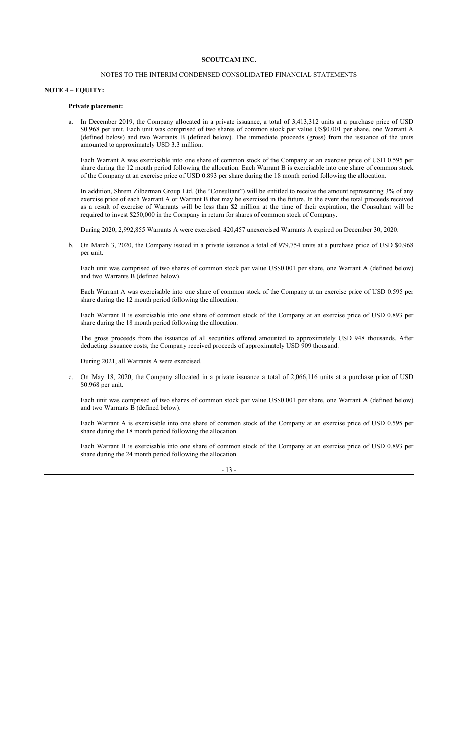## NOTES TO THE INTERIM CONDENSED CONSOLIDATED FINANCIAL STATEMENTS

#### NOTE 4 – EQUITY:

### Private placement:

a. In December 2019, the Company allocated in a private issuance, a total of 3,413,312 units at a purchase price of USD \$0.968 per unit. Each unit was comprised of two shares of common stock par value US\$0.001 per share, one Warrant A (defined below) and two Warrants B (defined below). The immediate proceeds (gross) from the issuance of the units amounted to approximately USD 3.3 million.

Each Warrant A was exercisable into one share of common stock of the Company at an exercise price of USD 0.595 per share during the 12 month period following the allocation. Each Warrant B is exercisable into one share of common stock of the Company at an exercise price of USD 0.893 per share during the 18 month period following the allocation.

In addition, Shrem Zilberman Group Ltd. (the "Consultant") will be entitled to receive the amount representing 3% of any exercise price of each Warrant A or Warrant B that may be exercised in the future. In the event the total proceeds received as a result of exercise of Warrants will be less than \$2 million at the time of their expiration, the Consultant will be required to invest \$250,000 in the Company in return for shares of common stock of Company.

During 2020, 2,992,855 Warrants A were exercised. 420,457 unexercised Warrants A expired on December 30, 2020.

b. On March 3, 2020, the Company issued in a private issuance a total of 979,754 units at a purchase price of USD \$0.968 per unit.

Each unit was comprised of two shares of common stock par value US\$0.001 per share, one Warrant A (defined below) and two Warrants B (defined below).

Each Warrant A was exercisable into one share of common stock of the Company at an exercise price of USD 0.595 per share during the 12 month period following the allocation.

Each Warrant B is exercisable into one share of common stock of the Company at an exercise price of USD 0.893 per share during the 18 month period following the allocation.

The gross proceeds from the issuance of all securities offered amounted to approximately USD 948 thousands. After deducting issuance costs, the Company received proceeds of approximately USD 909 thousand.

During 2021, all Warrants A were exercised.

c. On May 18, 2020, the Company allocated in a private issuance a total of 2,066,116 units at a purchase price of USD \$0.968 per unit.

Each unit was comprised of two shares of common stock par value US\$0.001 per share, one Warrant A (defined below) and two Warrants  $\overrightarrow{B}$  (defined below).

Each Warrant A is exercisable into one share of common stock of the Company at an exercise price of USD 0.595 per share during the 18 month period following the allocation.

Each Warrant B is exercisable into one share of common stock of the Company at an exercise price of USD 0.893 per share during the 24 month period following the allocation.

- 13 -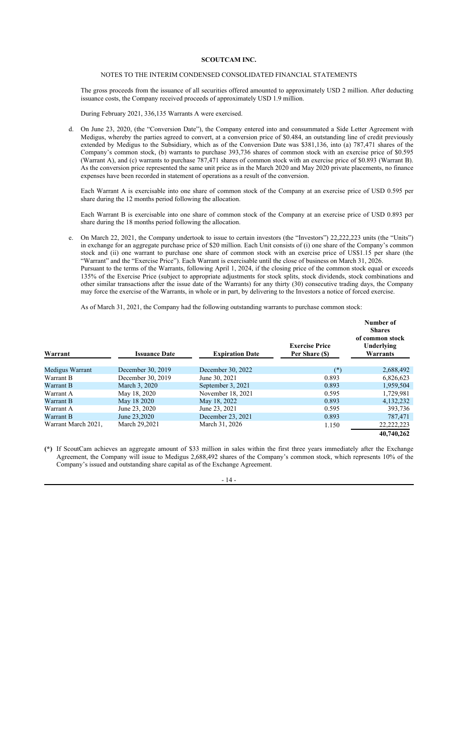### NOTES TO THE INTERIM CONDENSED CONSOLIDATED FINANCIAL STATEMENTS

The gross proceeds from the issuance of all securities offered amounted to approximately USD 2 million. After deducting issuance costs, the Company received proceeds of approximately USD 1.9 million.

During February 2021, 336,135 Warrants A were exercised.

d. On June 23, 2020, (the "Conversion Date"), the Company entered into and consummated a Side Letter Agreement with Medigus, whereby the parties agreed to convert, at a conversion price of \$0.484, an outstanding line of credit previously extended by Medigus to the Subsidiary, which as of the Conversion Date was \$381,136, into (a) 787,471 shares of the Company's common stock, (b) warrants to purchase 393,736 shares of common stock with an exercise price of \$0.595 (Warrant A), and (c) warrants to purchase 787,471 shares of common stock with an exercise price of \$0.893 (Warrant B). As the conversion price represented the same unit price as in the March 2020 and May 2020 private placements, no finance expenses have been recorded in statement of operations as a result of the conversion.

Each Warrant A is exercisable into one share of common stock of the Company at an exercise price of USD 0.595 per share during the 12 months period following the allocation.

Each Warrant B is exercisable into one share of common stock of the Company at an exercise price of USD 0.893 per share during the 18 months period following the allocation.

e. On March 22, 2021, the Company undertook to issue to certain investors (the "Investors") 22,222,223 units (the "Units") in exchange for an aggregate purchase price of \$20 million. Each Unit consists of (i) one share of the Company's common stock and (ii) one warrant to purchase one share of common stock with an exercise price of US\$1.15 per share (the "Warrant" and the "Exercise Price"). Each Warrant is exercisable until the close of business on March 31, 2026. Pursuant to the terms of the Warrants, following April 1, 2024, if the closing price of the common stock equal or exceeds 135% of the Exercise Price (subject to appropriate adjustments for stock splits, stock dividends, stock combinations and other similar transactions after the issue date of the Warrants) for any thirty (30) consecutive trading days, the Company may force the exercise of the Warrants, in whole or in part, by delivering to the Investors a notice of forced exercise.

As of March 31, 2021, the Company had the following outstanding warrants to purchase common stock:

| Warrant             | <b>Issuance Date</b> | <b>Expiration Date</b> | <b>Exercise Price</b><br>Per Share (\$) | Number of<br><b>Shares</b><br>of common stock<br>Underlying<br>Warrants |
|---------------------|----------------------|------------------------|-----------------------------------------|-------------------------------------------------------------------------|
| Medigus Warrant     | December 30, 2019    | December 30, 2022      | $(*)$                                   | 2,688,492                                                               |
| Warrant B           | December 30, 2019    | June 30, 2021          | 0.893                                   | 6,826,623                                                               |
| Warrant B           | March 3, 2020        | September 3, 2021      | 0.893                                   | 1,959,504                                                               |
| Warrant A           | May 18, 2020         | November 18, 2021      | 0.595                                   | 1,729,981                                                               |
| Warrant B           | May 18 2020          | May 18, 2022           | 0.893                                   | 4,132,232                                                               |
| Warrant A           | June 23, 2020        | June 23, 2021          | 0.595                                   | 393,736                                                                 |
| Warrant B           | June 23,2020         | December 23, 2021      | 0.893                                   | 787,471                                                                 |
| Warrant March 2021. | March 29,2021        | March 31, 2026         | 1.150                                   | 22, 222, 223                                                            |
|                     |                      |                        |                                         | 40,740,262                                                              |

(\*) If ScoutCam achieves an aggregate amount of \$33 million in sales within the first three years immediately after the Exchange Agreement, the Company will issue to Medigus 2,688,492 shares of the Company's common stock, which represents 10% of the Company's issued and outstanding share capital as of the Exchange Agreement.

- 14 -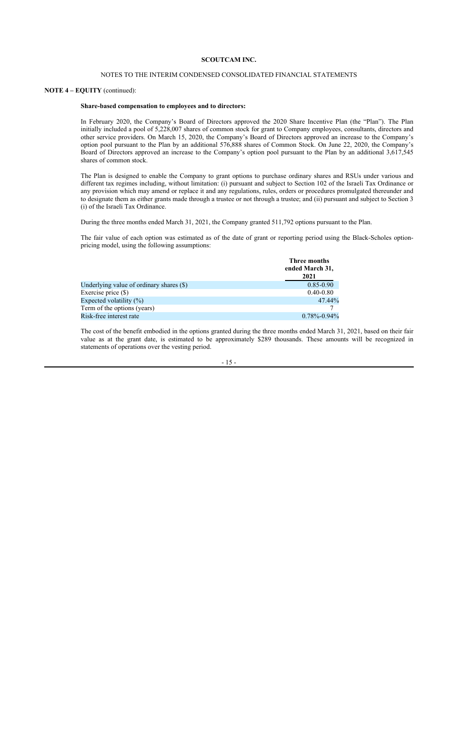### NOTES TO THE INTERIM CONDENSED CONSOLIDATED FINANCIAL STATEMENTS

### NOTE 4 – EQUITY (continued):

### Share-based compensation to employees and to directors:

In February 2020, the Company's Board of Directors approved the 2020 Share Incentive Plan (the "Plan"). The Plan initially included a pool of 5,228,007 shares of common stock for grant to Company employees, consultants, directors and other service providers. On March 15, 2020, the Company's Board of Directors approved an increase to the Company's option pool pursuant to the Plan by an additional 576,888 shares of Common Stock. On June 22, 2020, the Company's Board of Directors approved an increase to the Company's option pool pursuant to the Plan by an additional 3,617,545 shares of common stock.

The Plan is designed to enable the Company to grant options to purchase ordinary shares and RSUs under various and different tax regimes including, without limitation: (i) pursuant and subject to Section 102 of the Israeli Tax Ordinance or any provision which may amend or replace it and any regulations, rules, orders or procedures promulgated thereunder and to designate them as either grants made through a trustee or not through a trustee; and (ii) pursuant and subject to Section 3 (i) of the Israeli Tax Ordinance.

During the three months ended March 31, 2021, the Company granted 511,792 options pursuant to the Plan.

The fair value of each option was estimated as of the date of grant or reporting period using the Black-Scholes optionpricing model, using the following assumptions:

|                                          | Three months<br>ended March 31,<br>2021 |
|------------------------------------------|-----------------------------------------|
| Underlying value of ordinary shares (\$) | $0.85 - 0.90$                           |
| Exercise price (\$)                      | $0.40 - 0.80$                           |
| Expected volatility $(\%)$               | 47.44%                                  |
| Term of the options (years)              |                                         |
| Risk-free interest rate                  | $0.78\% - 0.94\%$                       |

The cost of the benefit embodied in the options granted during the three months ended March 31, 2021, based on their fair value as at the grant date, is estimated to be approximately \$289 thousands. These amounts will be recognized in statements of operations over the vesting period.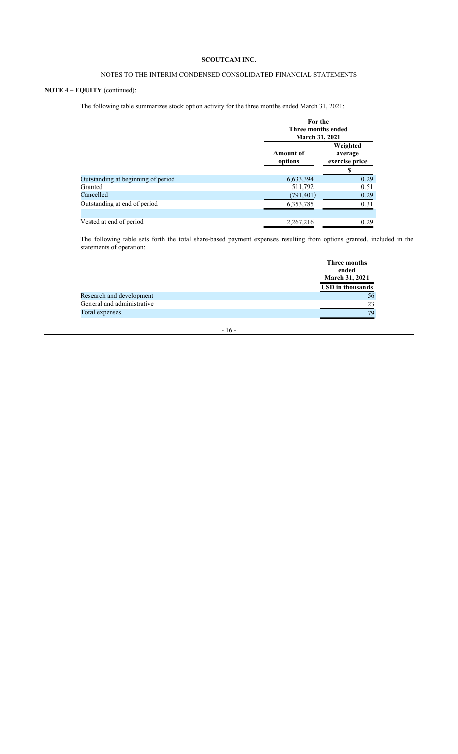## NOTES TO THE INTERIM CONDENSED CONSOLIDATED FINANCIAL STATEMENTS

## NOTE 4 – EQUITY (continued):

The following table summarizes stock option activity for the three months ended March 31, 2021:

|                                    |                      | For the<br>Three months ended<br><b>March 31, 2021</b> |  |  |
|------------------------------------|----------------------|--------------------------------------------------------|--|--|
|                                    | Amount of<br>options | Weighted<br>average<br>exercise price                  |  |  |
|                                    |                      | S                                                      |  |  |
| Outstanding at beginning of period | 6,633,394            | 0.29                                                   |  |  |
| Granted                            | 511,792              | 0.51                                                   |  |  |
| Cancelled                          | (791, 401)           | 0.29                                                   |  |  |
| Outstanding at end of period       | 6,353,785            | 0.31                                                   |  |  |
|                                    |                      |                                                        |  |  |
| Vested at end of period            | 2,267,216            | 0.29                                                   |  |  |

The following table sets forth the total share-based payment expenses resulting from options granted, included in the statements of operation:

|                            | Three months            |
|----------------------------|-------------------------|
|                            | ended                   |
|                            | <b>March 31, 2021</b>   |
|                            | <b>USD</b> in thousands |
| Research and development   | 56                      |
| General and administrative | 23                      |
| Total expenses             | 79                      |
|                            |                         |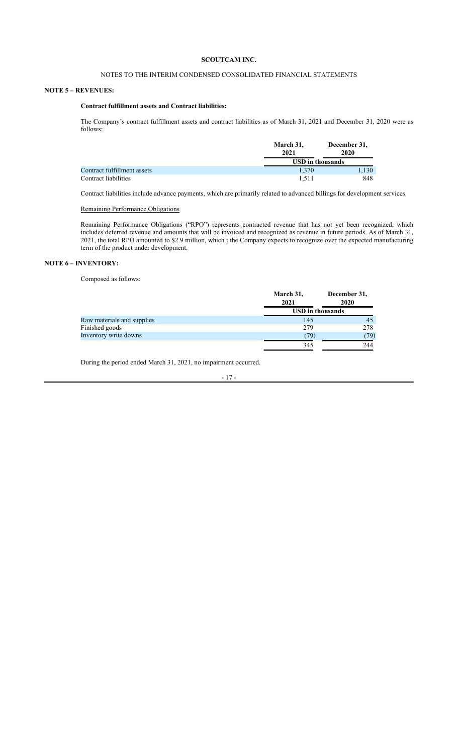## NOTES TO THE INTERIM CONDENSED CONSOLIDATED FINANCIAL STATEMENTS

### NOTE 5 – REVENUES:

## Contract fulfillment assets and Contract liabilities:

The Company's contract fulfillment assets and contract liabilities as of March 31, 2021 and December 31, 2020 were as follows:

|                             | March 31, | December 31,            |  |  |
|-----------------------------|-----------|-------------------------|--|--|
|                             | 2021      | 2020                    |  |  |
|                             |           | <b>USD</b> in thousands |  |  |
| Contract fulfillment assets | 1.370     | 1,130                   |  |  |
| Contract liabilities        | 1.511     | 848                     |  |  |

Contract liabilities include advance payments, which are primarily related to advanced billings for development services.

### Remaining Performance Obligations

Remaining Performance Obligations ("RPO") represents contracted revenue that has not yet been recognized, which includes deferred revenue and amounts that will be invoiced and recognized as revenue in future periods. As of March 31, 2021, the total RPO amounted to \$2.9 million, which t the Company expects to recognize over the expected manufacturing term of the product under development.

## NOTE 6 – INVENTORY:

Composed as follows:

|                            | March 31,<br>2021 | December 31,<br>2020    |
|----------------------------|-------------------|-------------------------|
|                            |                   | <b>USD</b> in thousands |
| Raw materials and supplies | 145               | 45                      |
| Finished goods             | 279               | 278                     |
| Inventory write downs      | (79)              | (79)                    |
|                            | 345               | 244                     |

During the period ended March 31, 2021, no impairment occurred.

- 17 -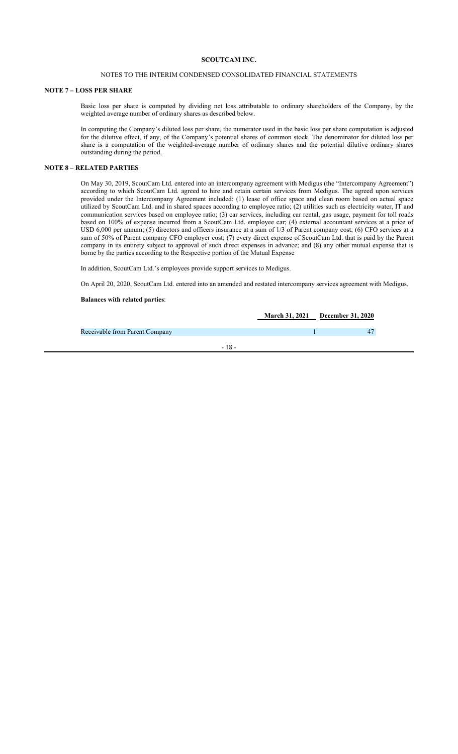### NOTES TO THE INTERIM CONDENSED CONSOLIDATED FINANCIAL STATEMENTS

#### NOTE 7 – LOSS PER SHARE

Basic loss per share is computed by dividing net loss attributable to ordinary shareholders of the Company, by the weighted average number of ordinary shares as described below.

In computing the Company's diluted loss per share, the numerator used in the basic loss per share computation is adjusted for the dilutive effect, if any, of the Company's potential shares of common stock. The denominator for diluted loss per share is a computation of the weighted-average number of ordinary shares and the potential dilutive ordinary shares outstanding during the period.

### NOTE 8 – RELATED PARTIES

On May 30, 2019, ScoutCam Ltd. entered into an intercompany agreement with Medigus (the "Intercompany Agreement") according to which ScoutCam Ltd. agreed to hire and retain certain services from Medigus. The agreed upon services provided under the Intercompany Agreement included: (1) lease of office space and clean room based on actual space utilized by ScoutCam Ltd. and in shared spaces according to employee ratio; (2) utilities such as electricity water, IT and communication services based on employee ratio; (3) car services, including car rental, gas usage, payment for toll roads based on 100% of expense incurred from a ScoutCam Ltd. employee car; (4) external accountant services at a price of USD 6,000 per annum; (5) directors and officers insurance at a sum of 1/3 of Parent company cost; (6) CFO services at a sum of 50% of Parent company CFO employer cost; (7) every direct expense of ScoutCam Ltd. that is paid by the Parent company in its entirety subject to approval of such direct expenses in advance; and (8) any other mutual expense that is borne by the parties according to the Respective portion of the Mutual Expense

In addition, ScoutCam Ltd.'s employees provide support services to Medigus.

On April 20, 2020, ScoutCam Ltd. entered into an amended and restated intercompany services agreement with Medigus.

## Balances with related parties:

|                                |        | March 31, 2021 December 31, 2020 |
|--------------------------------|--------|----------------------------------|
| Receivable from Parent Company |        |                                  |
|                                | - 18 - |                                  |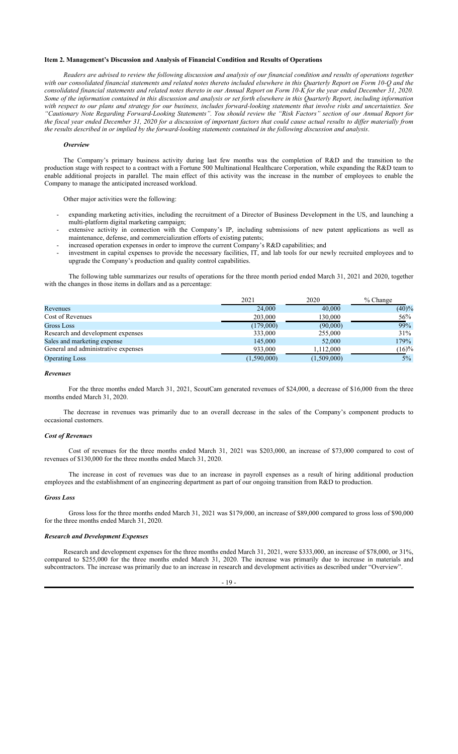### Item 2. Management's Discussion and Analysis of Financial Condition and Results of Operations

Readers are advised to review the following discussion and analysis of our financial condition and results of operations together with our consolidated financial statements and related notes thereto included elsewhere in this Quarterly Report on Form 10-Q and the consolidated financial statements and related notes thereto in our Annual Report on Form 10-K for the year ended December 31, 2020. Some of the information contained in this discussion and analysis or set forth elsewhere in this Quarterly Report, including information with respect to our plans and strategy for our business, includes forward-looking statements that involve risks and uncertainties. See "Cautionary Note Regarding Forward-Looking Statements". You should review the "Risk Factors" section of our Annual Report for the fiscal year ended December 31, 2020 for a discussion of important factors that could cause actual results to differ materially from the results described in or implied by the forward-looking statements contained in the following discussion and analysis.

#### **Overview**

The Company's primary business activity during last few months was the completion of R&D and the transition to the production stage with respect to a contract with a Fortune 500 Multinational Healthcare Corporation, while expanding the R&D team to enable additional projects in parallel. The main effect of this activity was the increase in the number of employees to enable the Company to manage the anticipated increased workload.

Other major activities were the following:

- expanding marketing activities, including the recruitment of a Director of Business Development in the US, and launching a multi-platform digital marketing campaign;
- extensive activity in connection with the Company's IP, including submissions of new patent applications as well as maintenance, defense, and commercialization efforts of existing patents;
- increased operation expenses in order to improve the current Company's R&D capabilities; and
- investment in capital expenses to provide the necessary facilities, IT, and lab tools for our newly recruited employees and to upgrade the Company's production and quality control capabilities.

The following table summarizes our results of operations for the three month period ended March 31, 2021 and 2020, together with the changes in those items in dollars and as a percentage:

|                                     | 2021        | 2020        | $%$ Change |
|-------------------------------------|-------------|-------------|------------|
| Revenues                            | 24,000      | 40,000      | (40)%      |
| Cost of Revenues                    | 203,000     | 130,000     | 56%        |
| Gross Loss                          | (179,000)   | (90,000)    | 99%        |
| Research and development expenses   | 333,000     | 255,000     | 31%        |
| Sales and marketing expense         | 145,000     | 52,000      | 179%       |
| General and administrative expenses | 933,000     | 1,112,000   | $(16)\%$   |
| <b>Operating Loss</b>               | (1,590,000) | (1,509,000) | $5\%$      |

### Revenues

For the three months ended March 31, 2021, ScoutCam generated revenues of \$24,000, a decrease of \$16,000 from the three months ended March 31, 2020.

The decrease in revenues was primarily due to an overall decrease in the sales of the Company's component products to occasional customers.

#### Cost of Revenues

Cost of revenues for the three months ended March 31, 2021 was \$203,000, an increase of \$73,000 compared to cost of revenues of \$130,000 for the three months ended March 31, 2020.

The increase in cost of revenues was due to an increase in payroll expenses as a result of hiring additional production employees and the establishment of an engineering department as part of our ongoing transition from R&D to production.

#### Gross Loss

Gross loss for the three months ended March 31, 2021 was \$179,000, an increase of \$89,000 compared to gross loss of \$90,000 for the three months ended March 31, 2020.

### Research and Development Expenses

Research and development expenses for the three months ended March 31, 2021, were \$333,000, an increase of \$78,000, or 31%, compared to \$255,000 for the three months ended March 31, 2020. The increase was primarily due to increase in materials and subcontractors. The increase was primarily due to an increase in research and development activities as described under "Overview".

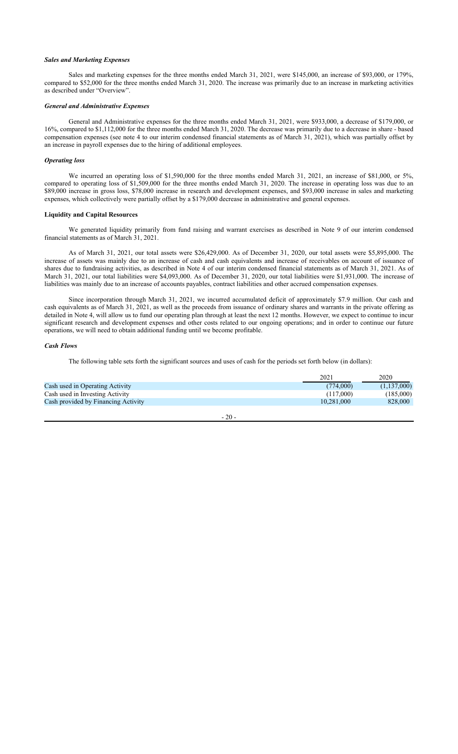### Sales and Marketing Expenses

Sales and marketing expenses for the three months ended March 31, 2021, were \$145,000, an increase of \$93,000, or 179%, compared to \$52,000 for the three months ended March 31, 2020. The increase was primarily due to an increase in marketing activities as described under "Overview".

### General and Administrative Expenses

General and Administrative expenses for the three months ended March 31, 2021, were \$933,000, a decrease of \$179,000, or 16%, compared to \$1,112,000 for the three months ended March 31, 2020. The decrease was primarily due to a decrease in share - based compensation expenses (see note 4 to our interim condensed financial statements as of March 31, 2021), which was partially offset by an increase in payroll expenses due to the hiring of additional employees.

#### Operating loss

We incurred an operating loss of \$1,590,000 for the three months ended March 31, 2021, an increase of \$81,000, or 5%, compared to operating loss of \$1,509,000 for the three months ended March 31, 2020. The increase in operating loss was due to an \$89,000 increase in gross loss, \$78,000 increase in research and development expenses, and \$93,000 increase in sales and marketing expenses, which collectively were partially offset by a \$179,000 decrease in administrative and general expenses.

### Liquidity and Capital Resources

We generated liquidity primarily from fund raising and warrant exercises as described in Note 9 of our interim condensed financial statements as of March 31, 2021.

As of March 31, 2021, our total assets were \$26,429,000. As of December 31, 2020, our total assets were \$5,895,000. The increase of assets was mainly due to an increase of cash and cash equivalents and increase of receivables on account of issuance of shares due to fundraising activities, as described in Note 4 of our interim condensed financial statements as of March 31, 2021. As of March 31, 2021, our total liabilities were \$4,093,000. As of December 31, 2020, our total liabilities were \$1,931,000. The increase of liabilities was mainly due to an increase of accounts payables, contract liabilities and other accrued compensation expenses.

Since incorporation through March 31, 2021, we incurred accumulated deficit of approximately \$7.9 million. Our cash and cash equivalents as of March 31, 2021, as well as the proceeds from issuance of ordinary shares and warrants in the private offering as detailed in Note 4, will allow us to fund our operating plan through at least the next 12 months. However, we expect to continue to incur significant research and development expenses and other costs related to our ongoing operations; and in order to continue our future operations, we will need to obtain additional funding until we become profitable.

#### Cash Flows

The following table sets forth the significant sources and uses of cash for the periods set forth below (in dollars):

|                                     | 2021       | 2020        |
|-------------------------------------|------------|-------------|
| Cash used in Operating Activity     | (774,000)  | (1,137,000) |
| Cash used in Investing Activity     | (117,000)  | (185,000)   |
| Cash provided by Financing Activity | 10.281,000 | 828,000     |
|                                     |            |             |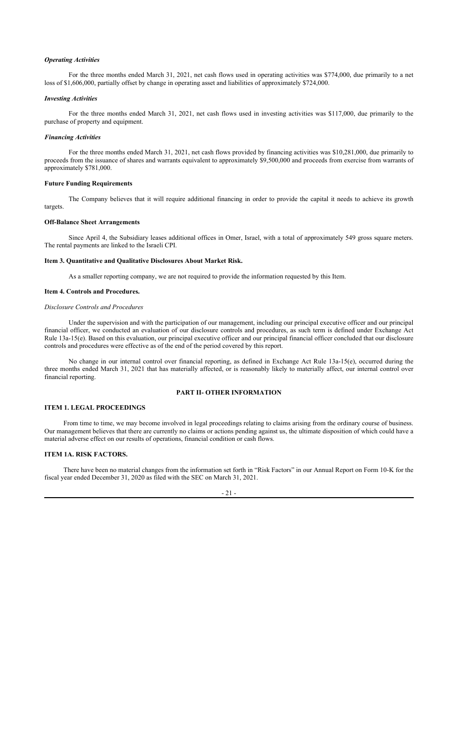### Operating Activities

For the three months ended March 31, 2021, net cash flows used in operating activities was \$774,000, due primarily to a net loss of \$1,606,000, partially offset by change in operating asset and liabilities of approximately \$724,000.

#### Investing Activities

For the three months ended March 31, 2021, net cash flows used in investing activities was \$117,000, due primarily to the purchase of property and equipment.

#### Financing Activities

For the three months ended March 31, 2021, net cash flows provided by financing activities was \$10,281,000, due primarily to proceeds from the issuance of shares and warrants equivalent to approximately \$9,500,000 and proceeds from exercise from warrants of approximately \$781,000.

#### Future Funding Requirements

The Company believes that it will require additional financing in order to provide the capital it needs to achieve its growth targets.

#### Off-Balance Sheet Arrangements

Since April 4, the Subsidiary leases additional offices in Omer, Israel, with a total of approximately 549 gross square meters. The rental payments are linked to the Israeli CPI.

#### Item 3. Quantitative and Qualitative Disclosures About Market Risk.

As a smaller reporting company, we are not required to provide the information requested by this Item.

### Item 4. Controls and Procedures.

## Disclosure Controls and Procedures

Under the supervision and with the participation of our management, including our principal executive officer and our principal financial officer, we conducted an evaluation of our disclosure controls and procedures, as such term is defined under Exchange Act Rule 13a-15(e). Based on this evaluation, our principal executive officer and our principal financial officer concluded that our disclosure controls and procedures were effective as of the end of the period covered by this report.

No change in our internal control over financial reporting, as defined in Exchange Act Rule 13a-15(e), occurred during the three months ended March 31, 2021 that has materially affected, or is reasonably likely to materially affect, our internal control over financial reporting.

## PART II- OTHER INFORMATION

## ITEM 1. LEGAL PROCEEDINGS

From time to time, we may become involved in legal proceedings relating to claims arising from the ordinary course of business. Our management believes that there are currently no claims or actions pending against us, the ultimate disposition of which could have a material adverse effect on our results of operations, financial condition or cash flows.

### ITEM 1A. RISK FACTORS.

There have been no material changes from the information set forth in "Risk Factors" in our Annual Report on Form 10-K for the fiscal year ended December 31, 2020 as filed with the SEC on March 31, 2021.

### $21$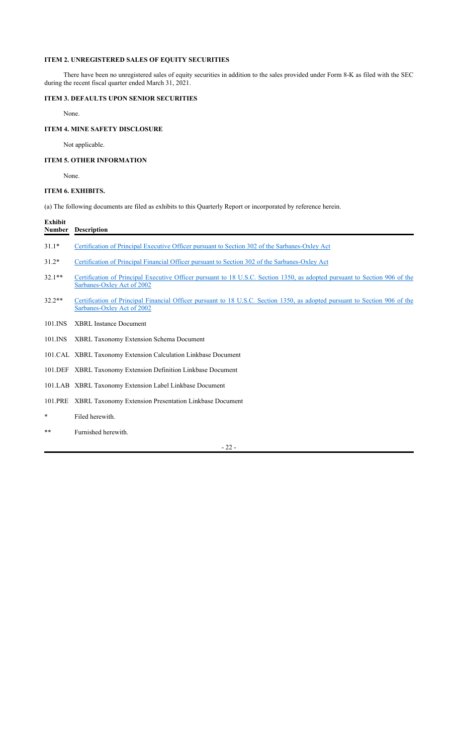## ITEM 2. UNREGISTERED SALES OF EQUITY SECURITIES

There have been no unregistered sales of equity securities in addition to the sales provided under Form 8-K as filed with the SEC during the recent fiscal quarter ended March 31, 2021.

## ITEM 3. DEFAULTS UPON SENIOR SECURITIES

None.

## ITEM 4. MINE SAFETY DISCLOSURE

Not applicable.

## ITEM 5. OTHER INFORMATION

None.

## ITEM 6. EXHIBITS.

(a) The following documents are filed as exhibits to this Quarterly Report or incorporated by reference herein.

| <b>Exhibit</b><br>Number | <b>Description</b>                                                                                                                                       |
|--------------------------|----------------------------------------------------------------------------------------------------------------------------------------------------------|
| $31.1*$                  | Certification of Principal Executive Officer pursuant to Section 302 of the Sarbanes-Oxley Act                                                           |
| $31.2*$                  | Certification of Principal Financial Officer pursuant to Section 302 of the Sarbanes-Oxley Act                                                           |
| $32.1***$                | Certification of Principal Executive Officer pursuant to 18 U.S.C. Section 1350, as adopted pursuant to Section 906 of the<br>Sarbanes-Oxley Act of 2002 |
| $32.2**$                 | Certification of Principal Financial Officer pursuant to 18 U.S.C. Section 1350, as adopted pursuant to Section 906 of the<br>Sarbanes-Oxley Act of 2002 |
| 101.INS                  | <b>XBRL Instance Document</b>                                                                                                                            |
| 101.INS                  | <b>XBRL Taxonomy Extension Schema Document</b>                                                                                                           |
|                          | 101.CAL XBRL Taxonomy Extension Calculation Linkbase Document                                                                                            |
|                          | 101.DEF XBRL Taxonomy Extension Definition Linkbase Document                                                                                             |
|                          | 101.LAB XBRL Taxonomy Extension Label Linkbase Document                                                                                                  |
| 101.PRE                  | XBRL Taxonomy Extension Presentation Linkbase Document                                                                                                   |
| $\ast$                   | Filed herewith.                                                                                                                                          |
| **                       | Furnished herewith.                                                                                                                                      |

22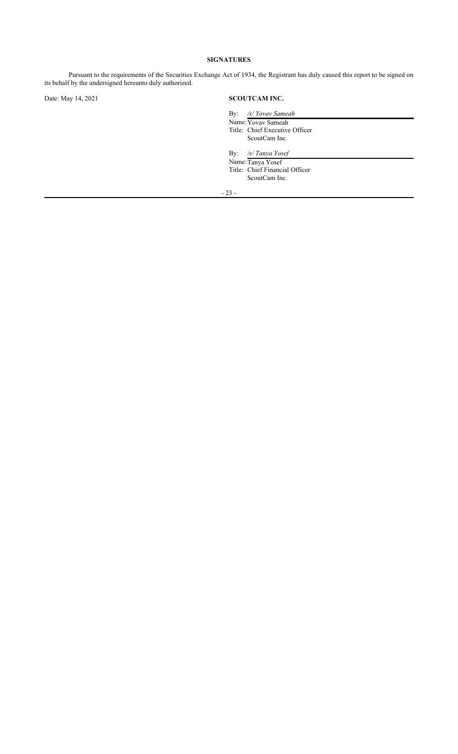## SIGNATURES

Pursuant to the requirements of the Securities Exchange Act of 1934, the Registrant has duly caused this report to be signed on its behalf by the undersigned hereunto duly authorized.

## Date: May 14, 2021 SCOUTCAM INC.

| By: /s/ Yovav Sameah           |
|--------------------------------|
| Name: Yovay Sameah             |
| Title: Chief Executive Officer |
| ScoutCam Inc.                  |
|                                |
| By: $\frac{s}{T}$ Tanya Yosef  |

Name:Tanya Yosef

Title: Chief Financial Officer ScoutCam Inc.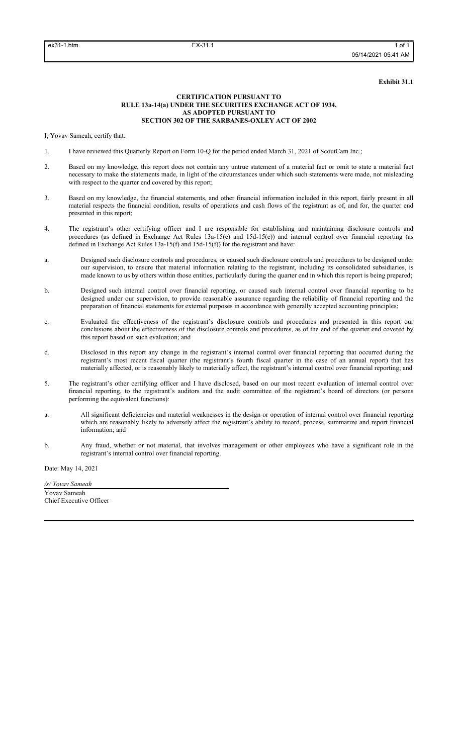#### Exhibit 31.1

### CERTIFICATION PURSUANT TO RULE 13a-14(a) UNDER THE SECURITIES EXCHANGE ACT OF 1934, AS ADOPTED PURSUANT TO SECTION 302 OF THE SARBANES-OXLEY ACT OF 2002

I, Yovav Sameah, certify that:

- 1. I have reviewed this Quarterly Report on Form 10-Q for the period ended March 31, 2021 of ScoutCam Inc.;
- 2. Based on my knowledge, this report does not contain any untrue statement of a material fact or omit to state a material fact necessary to make the statements made, in light of the circumstances under which such statements were made, not misleading with respect to the quarter end covered by this report;
- 3. Based on my knowledge, the financial statements, and other financial information included in this report, fairly present in all material respects the financial condition, results of operations and cash flows of the registrant as of, and for, the quarter end presented in this report;
- 4. The registrant's other certifying officer and I are responsible for establishing and maintaining disclosure controls and procedures (as defined in Exchange Act Rules 13a-15(e) and 15d-15(e)) and internal control over financial reporting (as defined in Exchange Act Rules 13a-15(f) and 15d-15(f)) for the registrant and have:
- a. Designed such disclosure controls and procedures, or caused such disclosure controls and procedures to be designed under our supervision, to ensure that material information relating to the registrant, including its consolidated subsidiaries, is made known to us by others within those entities, particularly during the quarter end in which this report is being prepared;
- b. Designed such internal control over financial reporting, or caused such internal control over financial reporting to be designed under our supervision, to provide reasonable assurance regarding the reliability of financial reporting and the preparation of financial statements for external purposes in accordance with generally accepted accounting principles;
- c. Evaluated the effectiveness of the registrant's disclosure controls and procedures and presented in this report our conclusions about the effectiveness of the disclosure controls and procedures, as of the end of the quarter end covered by this report based on such evaluation; and
- d. Disclosed in this report any change in the registrant's internal control over financial reporting that occurred during the registrant's most recent fiscal quarter (the registrant's fourth fiscal quarter in the case of an annual report) that has materially affected, or is reasonably likely to materially affect, the registrant's internal control over financial reporting; and
- 5. The registrant's other certifying officer and I have disclosed, based on our most recent evaluation of internal control over financial reporting, to the registrant's auditors and the audit committee of the registrant's board of directors (or persons performing the equivalent functions):
- a. All significant deficiencies and material weaknesses in the design or operation of internal control over financial reporting which are reasonably likely to adversely affect the registrant's ability to record, process, summarize and report financial information; and
- b. Any fraud, whether or not material, that involves management or other employees who have a significant role in the registrant's internal control over financial reporting.

Date: May 14, 2021

/s/ Yovav Sameah Yovav Sameah Chief Executive Officer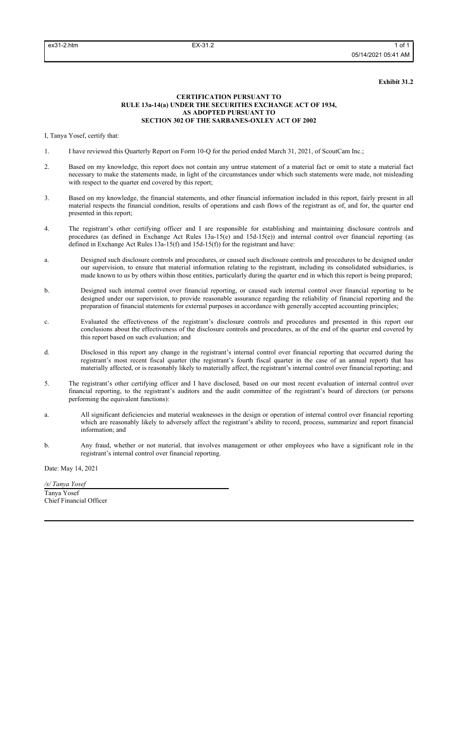#### Exhibit 31.2

### CERTIFICATION PURSUANT TO RULE 13a-14(a) UNDER THE SECURITIES EXCHANGE ACT OF 1934, AS ADOPTED PURSUANT TO SECTION 302 OF THE SARBANES-OXLEY ACT OF 2002

I, Tanya Yosef, certify that:

- 1. I have reviewed this Quarterly Report on Form 10-Q for the period ended March 31, 2021, of ScoutCam Inc.;
- 2. Based on my knowledge, this report does not contain any untrue statement of a material fact or omit to state a material fact necessary to make the statements made, in light of the circumstances under which such statements were made, not misleading with respect to the quarter end covered by this report;
- 3. Based on my knowledge, the financial statements, and other financial information included in this report, fairly present in all material respects the financial condition, results of operations and cash flows of the registrant as of, and for, the quarter end presented in this report;
- 4. The registrant's other certifying officer and I are responsible for establishing and maintaining disclosure controls and procedures (as defined in Exchange Act Rules 13a-15(e) and 15d-15(e)) and internal control over financial reporting (as defined in Exchange Act Rules 13a-15(f) and 15d-15(f)) for the registrant and have:
- a. Designed such disclosure controls and procedures, or caused such disclosure controls and procedures to be designed under our supervision, to ensure that material information relating to the registrant, including its consolidated subsidiaries, is made known to us by others within those entities, particularly during the quarter end in which this report is being prepared;
- b. Designed such internal control over financial reporting, or caused such internal control over financial reporting to be designed under our supervision, to provide reasonable assurance regarding the reliability of financial reporting and the preparation of financial statements for external purposes in accordance with generally accepted accounting principles;
- c. Evaluated the effectiveness of the registrant's disclosure controls and procedures and presented in this report our conclusions about the effectiveness of the disclosure controls and procedures, as of the end of the quarter end covered by this report based on such evaluation; and
- d. Disclosed in this report any change in the registrant's internal control over financial reporting that occurred during the registrant's most recent fiscal quarter (the registrant's fourth fiscal quarter in the case of an annual report) that has materially affected, or is reasonably likely to materially affect, the registrant's internal control over financial reporting; and
- 5. The registrant's other certifying officer and I have disclosed, based on our most recent evaluation of internal control over financial reporting, to the registrant's auditors and the audit committee of the registrant's board of directors (or persons performing the equivalent functions):
- a. All significant deficiencies and material weaknesses in the design or operation of internal control over financial reporting which are reasonably likely to adversely affect the registrant's ability to record, process, summarize and report financial information; and
- b. Any fraud, whether or not material, that involves management or other employees who have a significant role in the registrant's internal control over financial reporting.

Date: May 14, 2021

/s/ Tanya Yosef Tanya Yosef Chief Financial Officer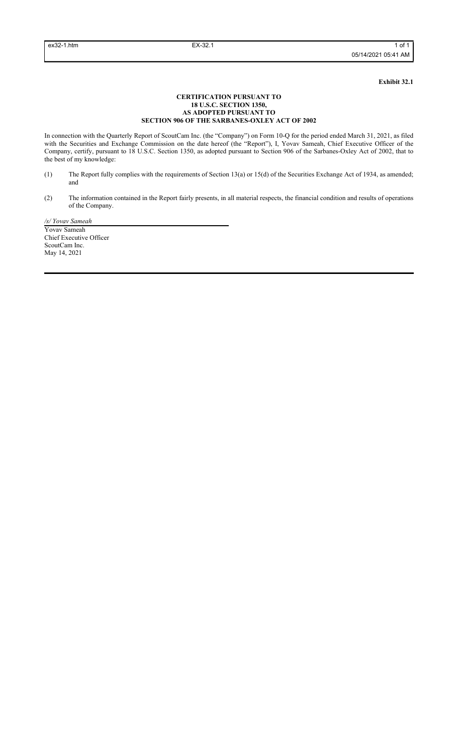Exhibit 32.1

### CERTIFICATION PURSUANT TO 18 U.S.C. SECTION 1350, AS ADOPTED PURSUANT TO SECTION 906 OF THE SARBANES-OXLEY ACT OF 2002

In connection with the Quarterly Report of ScoutCam Inc. (the "Company") on Form 10-Q for the period ended March 31, 2021, as filed with the Securities and Exchange Commission on the date hereof (the "Report"), I, Yovav Sameah, Chief Executive Officer of the Company, certify, pursuant to 18 U.S.C. Section 1350, as adopted pursuant to Section 906 of the Sarbanes-Oxley Act of 2002, that to the best of my knowledge:

- (1) The Report fully complies with the requirements of Section 13(a) or 15(d) of the Securities Exchange Act of 1934, as amended; and
- (2) The information contained in the Report fairly presents, in all material respects, the financial condition and results of operations of the Company.

/s/ Yovav Sameah Yovav Sameah Chief Executive Officer ScoutCam Inc. May 14, 2021